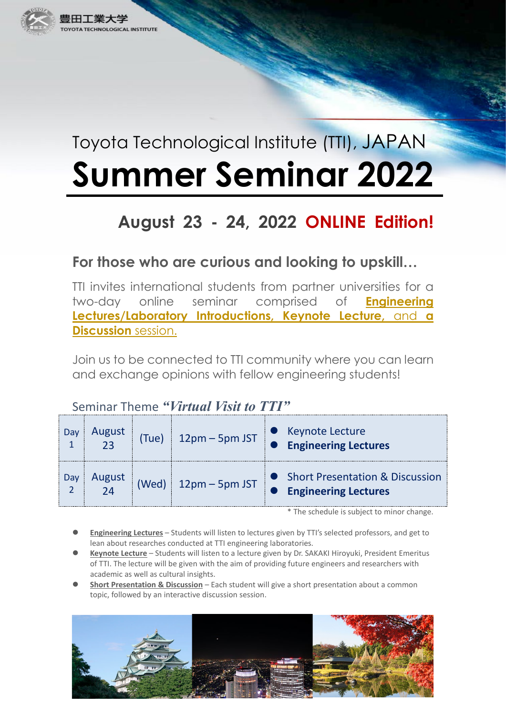

# Toyota Technological Institute (TTI), JAPAN **Summer Seminar 2022**

# **August 23 - 24, 2022 ONLINE Edition!**

## **For those who are curious and looking to upskill…**

TTI invites international students from partner universities for a two-day online seminar comprised of **Engineering Lectures/Laboratory Introductions, Keynote Lecture,** and **a Discussion** session.

Join us to be connected to TTI community where you can learn and exchange opinions with fellow engineering students!

#### Seminar Theme *"Virtual Visit to TTI"*

| Ja  | August       | (Tue) | $12$ pm $-5$ pm JST | Keynote Lecture<br><b>Engineering Lectures</b>                   |
|-----|--------------|-------|---------------------|------------------------------------------------------------------|
| Jay | August<br>2Δ | Wed)  | $12$ pm $-5$ pm JST | • Short Presentation & Discussion<br><b>Engineering Lectures</b> |

\* The schedule is subject to minor change.

- **Engineering Lectures** Students will listen to lectures given by TTI's selected professors, and get to lean about researches conducted at TTI engineering laboratories.
- **Keynote Lecture** Students will listen to a lecture given by Dr. SAKAKI Hiroyuki, President Emeritus of TTI. The lecture will be given with the aim of providing future engineers and researchers with academic as well as cultural insights.
- **Short Presentation & Discussion** Each student will give a short presentation about a common topic, followed by an interactive discussion session.